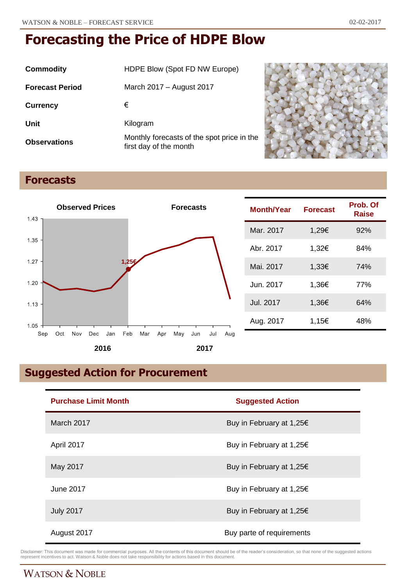| Commodity              | HDPE Blow (Spot FD NW Europe)                                        |
|------------------------|----------------------------------------------------------------------|
| <b>Forecast Period</b> | March 2017 – August 2017                                             |
| <b>Currency</b>        | €                                                                    |
| Unit                   | Kilogram                                                             |
| <b>Observations</b>    | Monthly forecasts of the spot price in the<br>first day of the month |



# **Forecasts**



| Month/Year | <b>Forecast</b> | Prob. Of<br>Raise |
|------------|-----------------|-------------------|
| Mar. 2017  | 1,29€           | 92%               |
| Abr. 2017  | 1,32€           | 84%               |
| Mai. 2017  | 1,33€           | 74%               |
| Jun. 2017  | 1,36€           | 77%               |
| Jul. 2017  | 1,36€           | 64%               |
| Aug. 2017  | 1,15€           | 48%               |

# **Suggested Action for Procurement**

| <b>Purchase Limit Month</b> | <b>Suggested Action</b>            |
|-----------------------------|------------------------------------|
| March 2017                  | Buy in February at 1,25€           |
| April 2017                  | Buy in February at 1,25 $\epsilon$ |
| May 2017                    | Buy in February at 1,25€           |
| June 2017                   | Buy in February at 1,25€           |
| <b>July 2017</b>            | Buy in February at 1,25€           |
| August 2017                 | Buy parte of requirements          |

Disclaimer: This document was made for commercial purposes. All the contents of this document should be of the reader's consideration, so that none of the suggested actions<br>represent incentives to act. Watson & Noble does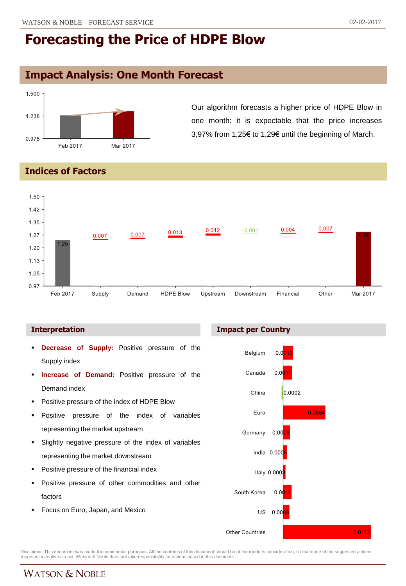## **Impact Analysis: One Month Forecast**



Our algorithm forecasts a higher price of HDPE Blow in one month: it is expectable that the price increases 3,97% from 1,25€ to 1,29€ until the beginning of March.

### **Indices of Factors**



### **Interpretation**

- **Decrease of Supply:** Positive pressure of the Supply index
- **Increase of Demand:** Positive pressure of the Demand index
- Positive pressure of the index of HDPE Blow
- Positive pressure of the index of variables representing the market upstream
- Slightly negative pressure of the index of variables representing the market downstream
- Positive pressure of the financial index
- Positive pressure of other commodities and other factors
- Focus on Euro, Japan, and Mexico

### **Impact per Country**



Disclaimer: This document was made for commercial purposes. All the contents of this document should be of the reader's consideration, so that none of the suggested actions<br>represent incentives to act. Watson & Noble does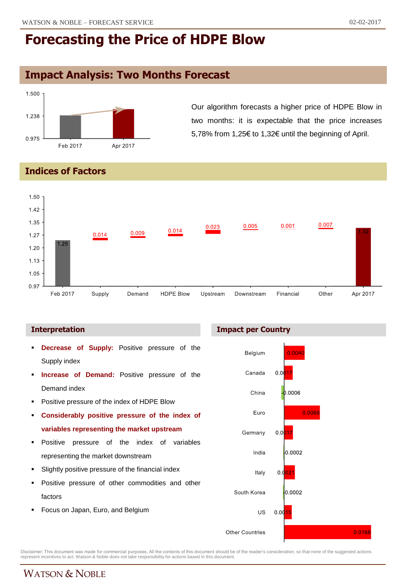## **Impact Analysis: Two Months Forecast**



Our algorithm forecasts a higher price of HDPE Blow in two months: it is expectable that the price increases 5,78% from 1,25€ to 1,32€ until the beginning of April.

### **Indices of Factors**



- **Decrease of Supply:** Positive pressure of the Supply index
- **Increase of Demand:** Positive pressure of the Demand index
- **Positive pressure of the index of HDPE Blow**
- **Considerably positive pressure of the index of variables representing the market upstream**
- **Positive pressure of the index of variables** representing the market downstream
- Slightly positive pressure of the financial index
- Positive pressure of other commodities and other factors
- Focus on Japan, Euro, and Belgium





Disclaimer: This document was made for commercial purposes. All the contents of this document should be of the reader's consideration, so that none of the suggested actions<br>represent incentives to act. Watson & Noble does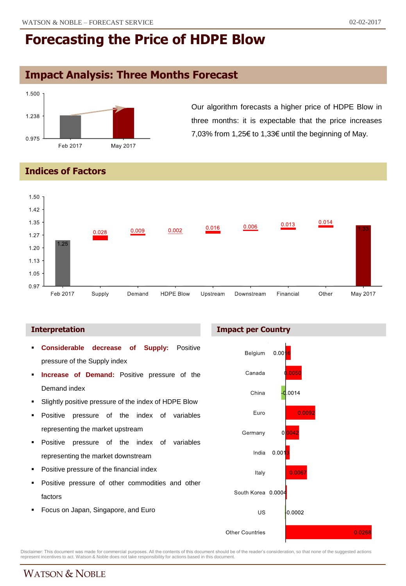## **Impact Analysis: Three Months Forecast**



Our algorithm forecasts a higher price of HDPE Blow in three months: it is expectable that the price increases 7,03% from 1,25€ to 1,33€ until the beginning of May.

### **Indices of Factors**



- **Considerable decrease of Supply:** Positive pressure of the Supply index
- **Increase of Demand:** Positive pressure of the Demand index
- Slightly positive pressure of the index of HDPE Blow
- Positive pressure of the index of variables representing the market upstream
- **Positive pressure of the index of variables** representing the market downstream
- Positive pressure of the financial index
- Positive pressure of other commodities and other factors
- Focus on Japan, Singapore, and Euro





Disclaimer: This document was made for commercial purposes. All the contents of this document should be of the reader's consideration, so that none of the suggested actions<br>represent incentives to act. Watson & Noble does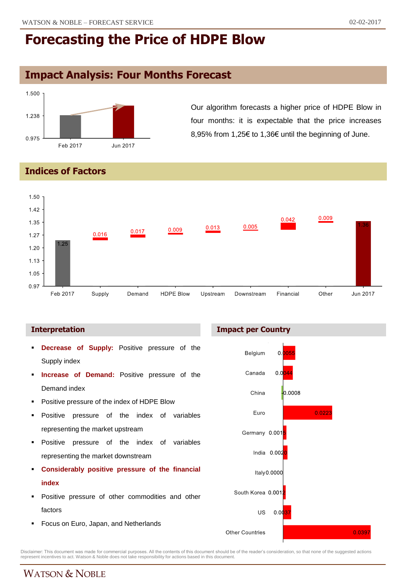## **Impact Analysis: Four Months Forecast**



Our algorithm forecasts a higher price of HDPE Blow in four months: it is expectable that the price increases 8,95% from 1,25€ to 1,36€ until the beginning of June.

### **Indices of Factors**



- **Decrease of Supply:** Positive pressure of the Supply index
- **Increase of Demand:** Positive pressure of the Demand index
- Positive pressure of the index of HDPE Blow
- Positive pressure of the index of variables representing the market upstream
- **Positive pressure of the index of variables** representing the market downstream
- **Considerably positive pressure of the financial index**
- **Positive pressure of other commodities and other** factors
- **Focus on Euro, Japan, and Netherlands**





Disclaimer: This document was made for commercial purposes. All the contents of this document should be of the reader's consideration, so that none of the suggested actions<br>represent incentives to act. Watson & Noble does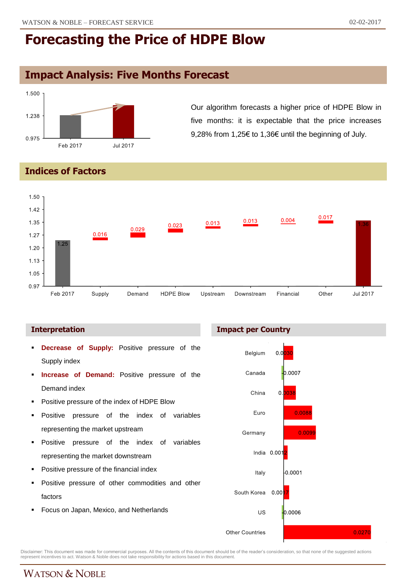## **Impact Analysis: Five Months Forecast**



Our algorithm forecasts a higher price of HDPE Blow in five months: it is expectable that the price increases 9,28% from 1,25€ to 1,36€ until the beginning of July.

### **Indices of Factors**



- **Decrease of Supply:** Positive pressure of the Supply index
- **Increase of Demand:** Positive pressure of the Demand index
- Positive pressure of the index of HDPE Blow
- Positive pressure of the index of variables representing the market upstream
- **Positive pressure of the index of variables** representing the market downstream
- Positive pressure of the financial index
- Positive pressure of other commodities and other factors
- Focus on Japan, Mexico, and Netherlands





Disclaimer: This document was made for commercial purposes. All the contents of this document should be of the reader's consideration, so that none of the suggested actions<br>represent incentives to act. Watson & Noble does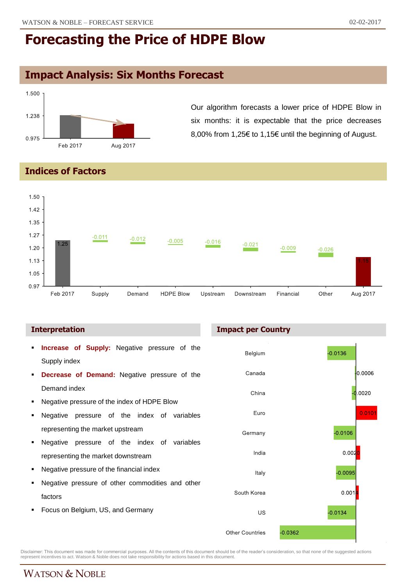## **Impact Analysis: Six Months Forecast**



Our algorithm forecasts a lower price of HDPE Blow in six months: it is expectable that the price decreases 8,00% from 1,25€ to 1,15€ until the beginning of August.

### **Indices of Factors**



- **Increase of Supply:** Negative pressure of the Supply index
- **Decrease of Demand:** Negative pressure of the Demand index
- Negative pressure of the index of HDPE Blow
- Negative pressure of the index of variables representing the market upstream
- Negative pressure of the index of variables representing the market downstream
- Negative pressure of the financial index
- Negative pressure of other commodities and other factors
- Focus on Belgium, US, and Germany

### **Interpretation Impact per Country**



Disclaimer: This document was made for commercial purposes. All the contents of this document should be of the reader's consideration, so that none of the suggested actions<br>represent incentives to act. Watson & Noble does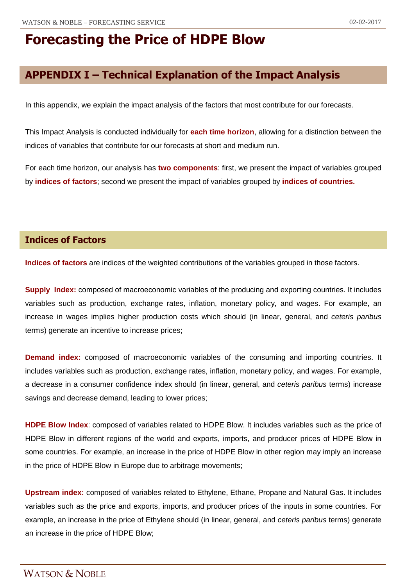## **APPENDIX I – Technical Explanation of the Impact Analysis**

In this appendix, we explain the impact analysis of the factors that most contribute for our forecasts.

This Impact Analysis is conducted individually for **each time horizon**, allowing for a distinction between the indices of variables that contribute for our forecasts at short and medium run.

For each time horizon, our analysis has **two components**: first, we present the impact of variables grouped by **indices of factors**; second we present the impact of variables grouped by **indices of countries.**

### **Indices of Factors**

**Indices of factors** are indices of the weighted contributions of the variables grouped in those factors.

**Supply Index:** composed of macroeconomic variables of the producing and exporting countries. It includes variables such as production, exchange rates, inflation, monetary policy, and wages. For example, an increase in wages implies higher production costs which should (in linear, general, and *ceteris paribus* terms) generate an incentive to increase prices;

**Demand index:** composed of macroeconomic variables of the consuming and importing countries. It includes variables such as production, exchange rates, inflation, monetary policy, and wages. For example, a decrease in a consumer confidence index should (in linear, general, and *ceteris paribus* terms) increase savings and decrease demand, leading to lower prices;

**HDPE Blow Index**: composed of variables related to HDPE Blow. It includes variables such as the price of HDPE Blow in different regions of the world and exports, imports, and producer prices of HDPE Blow in some countries. For example, an increase in the price of HDPE Blow in other region may imply an increase in the price of HDPE Blow in Europe due to arbitrage movements;

**Upstream index:** composed of variables related to Ethylene, Ethane, Propane and Natural Gas. It includes variables such as the price and exports, imports, and producer prices of the inputs in some countries. For example, an increase in the price of Ethylene should (in linear, general, and *ceteris paribus* terms) generate an increase in the price of HDPE Blow;